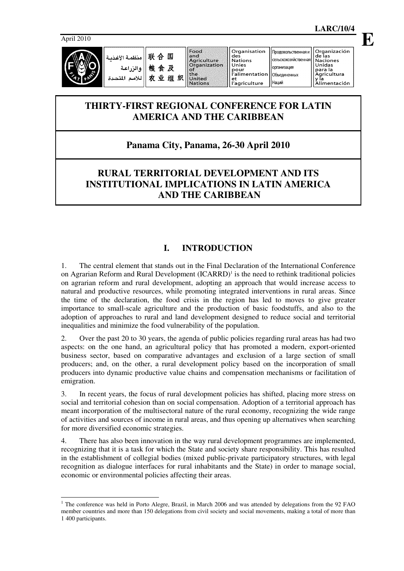

联合国 فأنفضه الأغذرية والزراعة 粮食及 农业组织 للأمم المت

and<br>Agriculture<br>Organization  $\sim f$ the<br>United **Nations** 

deš Nations<br>Unies pour<br>|Yalimentation et l'agriculture

сельскохозяйственная организация Объединенных Наций

ac ias<br>Naciones<br>Unidas para la<br>Agricultura y Ĭa Alimentación

# **THIRTY-FIRST REGIONAL CONFERENCE FOR LATIN AMERICA AND THE CARIBBEAN**

# **Panama City, Panama, 26-30 April 2010**

# **RURAL TERRITORIAL DEVELOPMENT AND ITS INSTITUTIONAL IMPLICATIONS IN LATIN AMERICA AND THE CARIBBEAN**

# **I. INTRODUCTION**

1. The central element that stands out in the Final Declaration of the International Conference on Agrarian Reform and Rural Development (ICARRD)<sup>1</sup> is the need to rethink traditional policies on agrarian reform and rural development, adopting an approach that would increase access to natural and productive resources, while promoting integrated interventions in rural areas. Since the time of the declaration, the food crisis in the region has led to moves to give greater importance to small-scale agriculture and the production of basic foodstuffs, and also to the adoption of approaches to rural and land development designed to reduce social and territorial inequalities and minimize the food vulnerability of the population.

2. Over the past 20 to 30 years, the agenda of public policies regarding rural areas has had two aspects: on the one hand, an agricultural policy that has promoted a modern, export-oriented business sector, based on comparative advantages and exclusion of a large section of small producers; and, on the other, a rural development policy based on the incorporation of small producers into dynamic productive value chains and compensation mechanisms or facilitation of emigration.

3. In recent years, the focus of rural development policies has shifted, placing more stress on social and territorial cohesion than on social compensation. Adoption of a territorial approach has meant incorporation of the multisectoral nature of the rural economy, recognizing the wide range of activities and sources of income in rural areas, and thus opening up alternatives when searching for more diversified economic strategies.

4. There has also been innovation in the way rural development programmes are implemented, recognizing that it is a task for which the State and society share responsibility. This has resulted in the establishment of collegial bodies (mixed public-private participatory structures, with legal recognition as dialogue interfaces for rural inhabitants and the State) in order to manage social, economic or environmental policies affecting their areas.

 $\ddot{\phantom{a}}$ <sup>1</sup> The conference was held in Porto Alegre, Brazil, in March 2006 and was attended by delegations from the 92 FAO member countries and more than 150 delegations from civil society and social movements, making a total of more than 1 400 participants.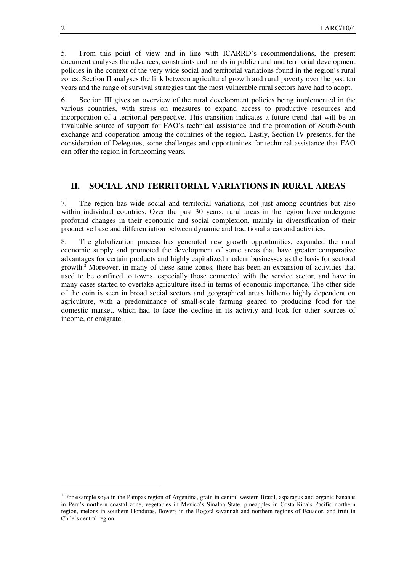5. From this point of view and in line with ICARRD's recommendations, the present document analyses the advances, constraints and trends in public rural and territorial development policies in the context of the very wide social and territorial variations found in the region's rural zones. Section II analyses the link between agricultural growth and rural poverty over the past ten years and the range of survival strategies that the most vulnerable rural sectors have had to adopt.

6. Section III gives an overview of the rural development policies being implemented in the various countries, with stress on measures to expand access to productive resources and incorporation of a territorial perspective. This transition indicates a future trend that will be an invaluable source of support for FAO's technical assistance and the promotion of South-South exchange and cooperation among the countries of the region. Lastly, Section IV presents, for the consideration of Delegates, some challenges and opportunities for technical assistance that FAO can offer the region in forthcoming years.

## **II. SOCIAL AND TERRITORIAL VARIATIONS IN RURAL AREAS**

7. The region has wide social and territorial variations, not just among countries but also within individual countries. Over the past 30 years, rural areas in the region have undergone profound changes in their economic and social complexion, mainly in diversification of their productive base and differentiation between dynamic and traditional areas and activities.

8. The globalization process has generated new growth opportunities, expanded the rural economic supply and promoted the development of some areas that have greater comparative advantages for certain products and highly capitalized modern businesses as the basis for sectoral growth.<sup>2</sup> Moreover, in many of these same zones, there has been an expansion of activities that used to be confined to towns, especially those connected with the service sector, and have in many cases started to overtake agriculture itself in terms of economic importance. The other side of the coin is seen in broad social sectors and geographical areas hitherto highly dependent on agriculture, with a predominance of small-scale farming geared to producing food for the domestic market, which had to face the decline in its activity and look for other sources of income, or emigrate.

 $\overline{a}$ 

<sup>&</sup>lt;sup>2</sup> For example soya in the Pampas region of Argentina, grain in central western Brazil, asparagus and organic bananas in Peru's northern coastal zone, vegetables in Mexico's Sinaloa State, pineapples in Costa Rica's Pacific northern region, melons in southern Honduras, flowers in the Bogotá savannah and northern regions of Ecuador, and fruit in Chile's central region.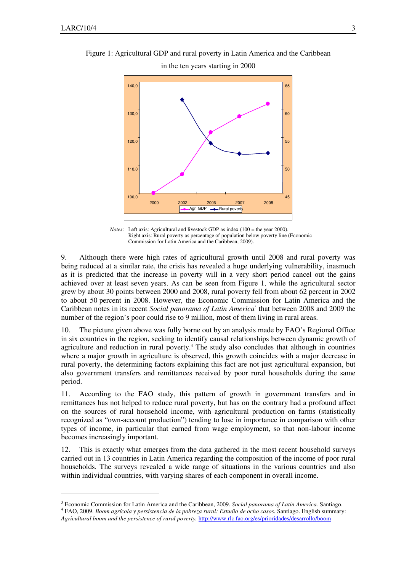$\ddot{\phantom{a}}$ 

Figure 1: Agricultural GDP and rural poverty in Latin America and the Caribbean



*Notes*: Left axis: Agricultural and livestock GDP as index (100 = the year 2000). Right axis: Rural poverty as percentage of population below poverty line (Economic Commission for Latin America and the Caribbean, 2009).

9. Although there were high rates of agricultural growth until 2008 and rural poverty was being reduced at a similar rate, the crisis has revealed a huge underlying vulnerability, inasmuch as it is predicted that the increase in poverty will in a very short period cancel out the gains achieved over at least seven years. As can be seen from Figure 1, while the agricultural sector grew by about 30 points between 2000 and 2008, rural poverty fell from about 62 percent in 2002 to about 50 percent in 2008. However, the Economic Commission for Latin America and the Caribbean notes in its recent *Social panorama of Latin America*<sup>3</sup> that between 2008 and 2009 the number of the region's poor could rise to 9 million, most of them living in rural areas.

10. The picture given above was fully borne out by an analysis made by FAO's Regional Office in six countries in the region, seeking to identify causal relationships between dynamic growth of agriculture and reduction in rural poverty.<sup>4</sup> The study also concludes that although in countries where a major growth in agriculture is observed, this growth coincides with a major decrease in rural poverty, the determining factors explaining this fact are not just agricultural expansion, but also government transfers and remittances received by poor rural households during the same period.

11. According to the FAO study, this pattern of growth in government transfers and in remittances has not helped to reduce rural poverty, but has on the contrary had a profound affect on the sources of rural household income, with agricultural production on farms (statistically recognized as "own-account production") tending to lose in importance in comparison with other types of income, in particular that earned from wage employment, so that non-labour income becomes increasingly important.

12. This is exactly what emerges from the data gathered in the most recent household surveys carried out in 13 countries in Latin America regarding the composition of the income of poor rural households. The surveys revealed a wide range of situations in the various countries and also within individual countries, with varying shares of each component in overall income.

<sup>3</sup> Economic Commission for Latin America and the Caribbean, 2009. *Social panorama of Latin America.* Santiago. 4 FAO, 2009. *Boom agrícola y persistencia de la pobreza rural: Estudio de ocho casos.* Santiago. English summary:

*Agricultural boom and the persistence of rural poverty.* http://www.rlc.fao.org/es/prioridades/desarrollo/boom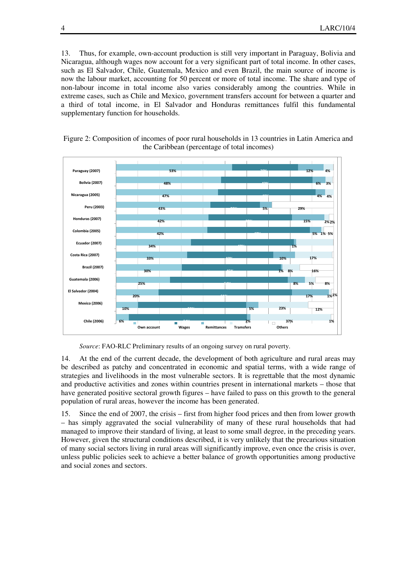13. Thus, for example, own-account production is still very important in Paraguay, Bolivia and Nicaragua, although wages now account for a very significant part of total income. In other cases, such as El Salvador, Chile, Guatemala, Mexico and even Brazil, the main source of income is now the labour market, accounting for 50 percent or more of total income. The share and type of non-labour income in total income also varies considerably among the countries. While in extreme cases, such as Chile and Mexico, government transfers account for between a quarter and a third of total income, in El Salvador and Honduras remittances fulfil this fundamental supplementary function for households.



Figure 2: Composition of incomes of poor rural households in 13 countries in Latin America and the Caribbean (percentage of total incomes)

*Source*: FAO-RLC Preliminary results of an ongoing survey on rural poverty.

14. At the end of the current decade, the development of both agriculture and rural areas may be described as patchy and concentrated in economic and spatial terms, with a wide range of strategies and livelihoods in the most vulnerable sectors. It is regrettable that the most dynamic and productive activities and zones within countries present in international markets – those that have generated positive sectoral growth figures – have failed to pass on this growth to the general population of rural areas, however the income has been generated.

15. Since the end of 2007, the crisis – first from higher food prices and then from lower growth – has simply aggravated the social vulnerability of many of these rural households that had managed to improve their standard of living, at least to some small degree, in the preceding years. However, given the structural conditions described, it is very unlikely that the precarious situation of many social sectors living in rural areas will significantly improve, even once the crisis is over, unless public policies seek to achieve a better balance of growth opportunities among productive and social zones and sectors.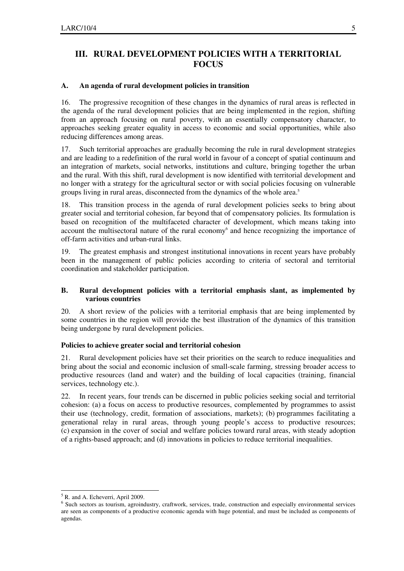# **III. RURAL DEVELOPMENT POLICIES WITH A TERRITORIAL FOCUS**

#### **A. An agenda of rural development policies in transition**

16. The progressive recognition of these changes in the dynamics of rural areas is reflected in the agenda of the rural development policies that are being implemented in the region, shifting from an approach focusing on rural poverty, with an essentially compensatory character, to approaches seeking greater equality in access to economic and social opportunities, while also reducing differences among areas.

17. Such territorial approaches are gradually becoming the rule in rural development strategies and are leading to a redefinition of the rural world in favour of a concept of spatial continuum and an integration of markets, social networks, institutions and culture, bringing together the urban and the rural. With this shift, rural development is now identified with territorial development and no longer with a strategy for the agricultural sector or with social policies focusing on vulnerable groups living in rural areas, disconnected from the dynamics of the whole area.<sup>5</sup>

18. This transition process in the agenda of rural development policies seeks to bring about greater social and territorial cohesion, far beyond that of compensatory policies. Its formulation is based on recognition of the multifaceted character of development, which means taking into account the multisectoral nature of the rural economy<sup>6</sup> and hence recognizing the importance of off-farm activities and urban-rural links.

19. The greatest emphasis and strongest institutional innovations in recent years have probably been in the management of public policies according to criteria of sectoral and territorial coordination and stakeholder participation.

### **B. Rural development policies with a territorial emphasis slant, as implemented by various countries**

20. A short review of the policies with a territorial emphasis that are being implemented by some countries in the region will provide the best illustration of the dynamics of this transition being undergone by rural development policies.

### **Policies to achieve greater social and territorial cohesion**

21. Rural development policies have set their priorities on the search to reduce inequalities and bring about the social and economic inclusion of small-scale farming, stressing broader access to productive resources (land and water) and the building of local capacities (training, financial services, technology etc.).

22. In recent years, four trends can be discerned in public policies seeking social and territorial cohesion: (a) a focus on access to productive resources, complemented by programmes to assist their use (technology, credit, formation of associations, markets); (b) programmes facilitating a generational relay in rural areas, through young people's access to productive resources; (c) expansion in the cover of social and welfare policies toward rural areas, with steady adoption of a rights-based approach; and (d) innovations in policies to reduce territorial inequalities.

 $\overline{a}$ 5 R. and A. Echeverri, April 2009.

<sup>&</sup>lt;sup>6</sup> Such sectors as tourism, agroindustry, craftwork, services, trade, construction and especially environmental services are seen as components of a productive economic agenda with huge potential, and must be included as components of agendas.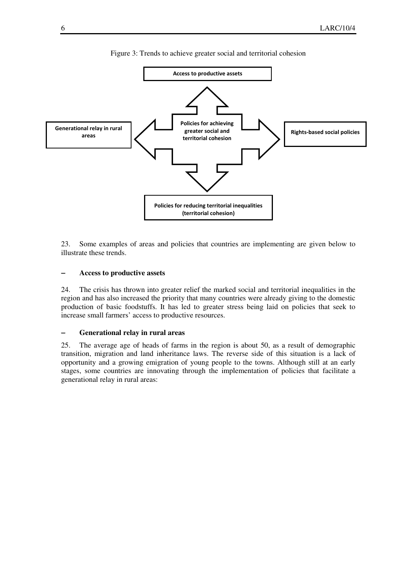

Figure 3: Trends to achieve greater social and territorial cohesion

23. Some examples of areas and policies that countries are implementing are given below to illustrate these trends.

#### − **Access to productive assets**

24. The crisis has thrown into greater relief the marked social and territorial inequalities in the region and has also increased the priority that many countries were already giving to the domestic production of basic foodstuffs. It has led to greater stress being laid on policies that seek to increase small farmers' access to productive resources.

#### − **Generational relay in rural areas**

25. The average age of heads of farms in the region is about 50, as a result of demographic transition, migration and land inheritance laws. The reverse side of this situation is a lack of opportunity and a growing emigration of young people to the towns. Although still at an early stages, some countries are innovating through the implementation of policies that facilitate a generational relay in rural areas: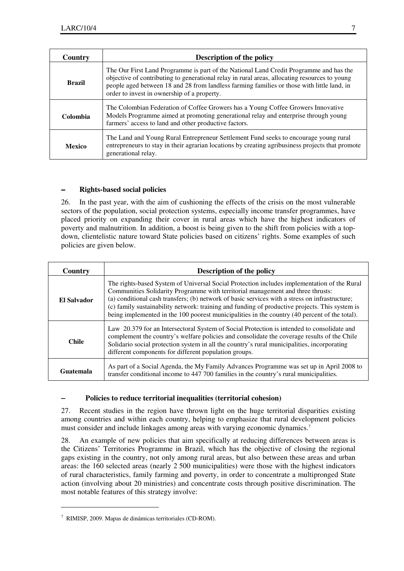| Country       | <b>Description of the policy</b>                                                                                                                                                                                                                                                                                                     |
|---------------|--------------------------------------------------------------------------------------------------------------------------------------------------------------------------------------------------------------------------------------------------------------------------------------------------------------------------------------|
| <b>Brazil</b> | The Our First Land Programme is part of the National Land Credit Programme and has the<br>objective of contributing to generational relay in rural areas, allocating resources to young<br>people aged between 18 and 28 from landless farming families or those with little land, in<br>order to invest in ownership of a property. |
| Colombia      | The Colombian Federation of Coffee Growers has a Young Coffee Growers Innovative<br>Models Programme aimed at promoting generational relay and enterprise through young<br>farmers' access to land and other productive factors.                                                                                                     |
| <b>Mexico</b> | The Land and Young Rural Entrepreneur Settlement Fund seeks to encourage young rural<br>entrepreneurs to stay in their agrarian locations by creating agribusiness projects that promote<br>generational relay.                                                                                                                      |

### − **Rights-based social policies**

26. In the past year, with the aim of cushioning the effects of the crisis on the most vulnerable sectors of the population, social protection systems, especially income transfer programmes, have placed priority on expanding their cover in rural areas which have the highest indicators of poverty and malnutrition. In addition, a boost is being given to the shift from policies with a topdown, clientelistic nature toward State policies based on citizens' rights. Some examples of such policies are given below.

| Country      | <b>Description of the policy</b>                                                                                                                                                                                                                                                                                                                                                                                                                                                    |
|--------------|-------------------------------------------------------------------------------------------------------------------------------------------------------------------------------------------------------------------------------------------------------------------------------------------------------------------------------------------------------------------------------------------------------------------------------------------------------------------------------------|
| El Salvador  | The rights-based System of Universal Social Protection includes implementation of the Rural<br>Communities Solidarity Programme with territorial management and three thrusts:<br>(a) conditional cash transfers; (b) network of basic services with a stress on infrastructure;<br>(c) family sustainability network: training and funding of productive projects. This system is<br>being implemented in the 100 poorest municipalities in the country (40 percent of the total). |
| <b>Chile</b> | Law 20.379 for an Intersectoral System of Social Protection is intended to consolidate and<br>complement the country's welfare policies and consolidate the coverage results of the Chile<br>Solidario social protection system in all the country's rural municipalities, incorporating<br>different components for different population groups.                                                                                                                                   |
| Guatemala    | As part of a Social Agenda, the My Family Advances Programme was set up in April 2008 to<br>transfer conditional income to 447 700 families in the country's rural municipalities.                                                                                                                                                                                                                                                                                                  |

### − **Policies to reduce territorial inequalities (territorial cohesion)**

27. Recent studies in the region have thrown light on the huge territorial disparities existing among countries and within each country, helping to emphasize that rural development policies must consider and include linkages among areas with varying economic dynamics.<sup>7</sup>

28. An example of new policies that aim specifically at reducing differences between areas is the Citizens' Territories Programme in Brazil, which has the objective of closing the regional gaps existing in the country, not only among rural areas, but also between these areas and urban areas: the 160 selected areas (nearly 2 500 municipalities) were those with the highest indicators of rural characteristics, family farming and poverty, in order to concentrate a multipronged State action (involving about 20 ministries) and concentrate costs through positive discrimination. The most notable features of this strategy involve:

 $\overline{a}$ 

<sup>7</sup> RIMISP, 2009. Mapas de dinámicas territoriales (CD-ROM).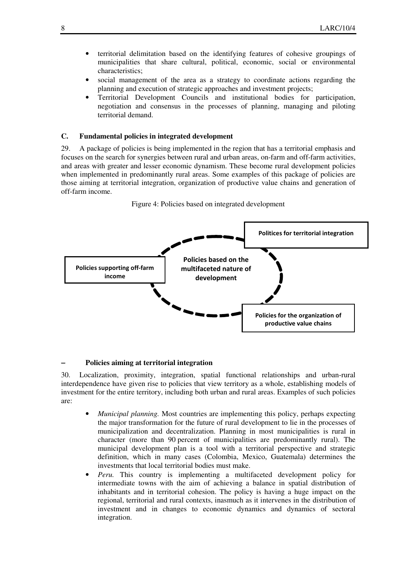- territorial delimitation based on the identifying features of cohesive groupings of municipalities that share cultural, political, economic, social or environmental characteristics;
- social management of the area as a strategy to coordinate actions regarding the planning and execution of strategic approaches and investment projects;
- Territorial Development Councils and institutional bodies for participation, negotiation and consensus in the processes of planning, managing and piloting territorial demand.

### **C. Fundamental policies in integrated development**

29. A package of policies is being implemented in the region that has a territorial emphasis and focuses on the search for synergies between rural and urban areas, on-farm and off-farm activities, and areas with greater and lesser economic dynamism. These become rural development policies when implemented in predominantly rural areas. Some examples of this package of policies are those aiming at territorial integration, organization of productive value chains and generation of off-farm income.





#### − **Policies aiming at territorial integration**

30. Localization, proximity, integration, spatial functional relationships and urban-rural interdependence have given rise to policies that view territory as a whole, establishing models of investment for the entire territory, including both urban and rural areas. Examples of such policies are:

- *Municipal planning.* Most countries are implementing this policy, perhaps expecting the major transformation for the future of rural development to lie in the processes of municipalization and decentralization. Planning in most municipalities is rural in character (more than 90 percent of municipalities are predominantly rural). The municipal development plan is a tool with a territorial perspective and strategic definition, which in many cases (Colombia, Mexico, Guatemala) determines the investments that local territorial bodies must make.
- *Peru.* This country is implementing a multifaceted development policy for intermediate towns with the aim of achieving a balance in spatial distribution of inhabitants and in territorial cohesion. The policy is having a huge impact on the regional, territorial and rural contexts, inasmuch as it intervenes in the distribution of investment and in changes to economic dynamics and dynamics of sectoral integration.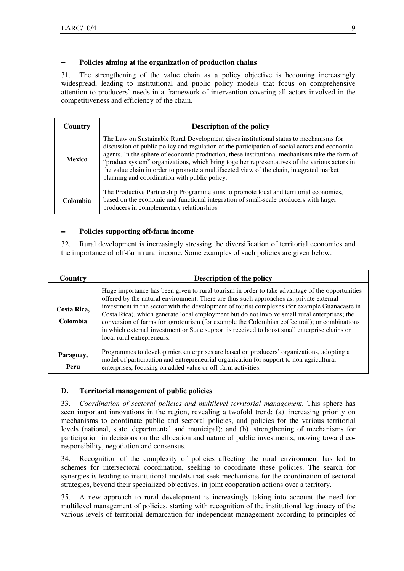## − **Policies aiming at the organization of production chains**

31. The strengthening of the value chain as a policy objective is becoming increasingly widespread, leading to institutional and public policy models that focus on comprehensive attention to producers' needs in a framework of intervention covering all actors involved in the competitiveness and efficiency of the chain.

| Country       | <b>Description of the policy</b>                                                                                                                                                                                                                                                                                                                                                                                                                                                                                                     |
|---------------|--------------------------------------------------------------------------------------------------------------------------------------------------------------------------------------------------------------------------------------------------------------------------------------------------------------------------------------------------------------------------------------------------------------------------------------------------------------------------------------------------------------------------------------|
| <b>Mexico</b> | The Law on Sustainable Rural Development gives institutional status to mechanisms for<br>discussion of public policy and regulation of the participation of social actors and economic<br>agents. In the sphere of economic production, these institutional mechanisms take the form of<br>"product system" organizations, which bring together representatives of the various actors in<br>the value chain in order to promote a multifaceted view of the chain, integrated market<br>planning and coordination with public policy. |
| Colombia      | The Productive Partnership Programme aims to promote local and territorial economies,<br>based on the economic and functional integration of small-scale producers with larger<br>producers in complementary relationships.                                                                                                                                                                                                                                                                                                          |

## − **Policies supporting off-farm income**

32. Rural development is increasingly stressing the diversification of territorial economies and the importance of off-farm rural income. Some examples of such policies are given below.

| Country                 | <b>Description of the policy</b>                                                                                                                                                                                                                                                                                                                                                                                                                                                                                                                                                                                            |
|-------------------------|-----------------------------------------------------------------------------------------------------------------------------------------------------------------------------------------------------------------------------------------------------------------------------------------------------------------------------------------------------------------------------------------------------------------------------------------------------------------------------------------------------------------------------------------------------------------------------------------------------------------------------|
| Costa Rica,<br>Colombia | Huge importance has been given to rural tourism in order to take advantage of the opportunities<br>offered by the natural environment. There are thus such approaches as: private external<br>investment in the sector with the development of tourist complexes (for example Guanacaste in<br>Costa Rica), which generate local employment but do not involve small rural enterprises; the<br>conversion of farms for agrotourism (for example the Colombian coffee trail); or combinations<br>in which external investment or State support is received to boost small enterprise chains or<br>local rural entrepreneurs. |
| Paraguay,<br>Peru       | Programmes to develop microenterprises are based on producers' organizations, adopting a<br>model of participation and entrepreneurial organization for support to non-agricultural<br>enterprises, focusing on added value or off-farm activities.                                                                                                                                                                                                                                                                                                                                                                         |

## **D. Territorial management of public policies**

33. *Coordination of sectoral policies and multilevel territorial management.* This sphere has seen important innovations in the region, revealing a twofold trend: (a) increasing priority on mechanisms to coordinate public and sectoral policies, and policies for the various territorial levels (national, state, departmental and municipal); and (b) strengthening of mechanisms for participation in decisions on the allocation and nature of public investments, moving toward coresponsibility, negotiation and consensus.

34. Recognition of the complexity of policies affecting the rural environment has led to schemes for intersectoral coordination, seeking to coordinate these policies. The search for synergies is leading to institutional models that seek mechanisms for the coordination of sectoral strategies, beyond their specialized objectives, in joint cooperation actions over a territory.

35. A new approach to rural development is increasingly taking into account the need for multilevel management of policies, starting with recognition of the institutional legitimacy of the various levels of territorial demarcation for independent management according to principles of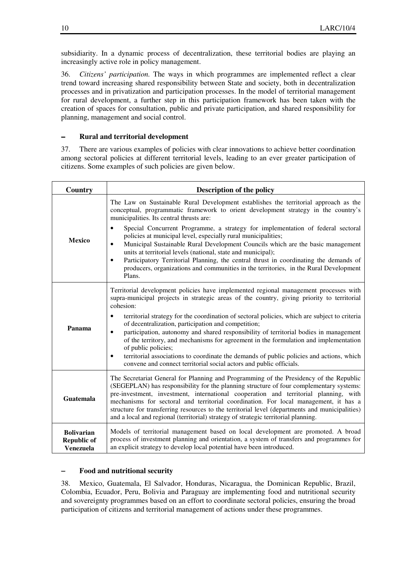subsidiarity. In a dynamic process of decentralization, these territorial bodies are playing an increasingly active role in policy management.

36. *Citizens' participation.* The ways in which programmes are implemented reflect a clear trend toward increasing shared responsibility between State and society, both in decentralization processes and in privatization and participation processes. In the model of territorial management for rural development, a further step in this participation framework has been taken with the creation of spaces for consultation, public and private participation, and shared responsibility for planning, management and social control.

### − **Rural and territorial development**

37. There are various examples of policies with clear innovations to achieve better coordination among sectoral policies at different territorial levels, leading to an ever greater participation of citizens. Some examples of such policies are given below.

| Country                                                     | <b>Description of the policy</b>                                                                                                                                                                                                                                                                                                                                                                                                                                                                                                                          |
|-------------------------------------------------------------|-----------------------------------------------------------------------------------------------------------------------------------------------------------------------------------------------------------------------------------------------------------------------------------------------------------------------------------------------------------------------------------------------------------------------------------------------------------------------------------------------------------------------------------------------------------|
| <b>Mexico</b>                                               | The Law on Sustainable Rural Development establishes the territorial approach as the<br>conceptual, programmatic framework to orient development strategy in the country's<br>municipalities. Its central thrusts are:                                                                                                                                                                                                                                                                                                                                    |
|                                                             | Special Concurrent Programme, a strategy for implementation of federal sectoral<br>$\bullet$<br>policies at municipal level, especially rural municipalities;<br>Municipal Sustainable Rural Development Councils which are the basic management<br>٠<br>units at territorial levels (national, state and municipal);<br>Participatory Territorial Planning, the central thrust in coordinating the demands of<br>٠<br>producers, organizations and communities in the territories, in the Rural Development<br>Plans.                                    |
| Panama                                                      | Territorial development policies have implemented regional management processes with<br>supra-municipal projects in strategic areas of the country, giving priority to territorial<br>cohesion:<br>territorial strategy for the coordination of sectoral policies, which are subject to criteria<br>٠<br>of decentralization, participation and competition;                                                                                                                                                                                              |
|                                                             | participation, autonomy and shared responsibility of territorial bodies in management<br>$\bullet$<br>of the territory, and mechanisms for agreement in the formulation and implementation<br>of public policies;<br>territorial associations to coordinate the demands of public policies and actions, which<br>٠<br>convene and connect territorial social actors and public officials.                                                                                                                                                                 |
| Guatemala                                                   | The Secretariat General for Planning and Programming of the Presidency of the Republic<br>(SEGEPLAN) has responsibility for the planning structure of four complementary systems:<br>pre-investment, investment, international cooperation and territorial planning, with<br>mechanisms for sectoral and territorial coordination. For local management, it has a<br>structure for transferring resources to the territorial level (departments and municipalities)<br>and a local and regional (territorial) strategy of strategic territorial planning. |
| <b>Bolivarian</b><br><b>Republic of</b><br><b>Venezuela</b> | Models of territorial management based on local development are promoted. A broad<br>process of investment planning and orientation, a system of transfers and programmes for<br>an explicit strategy to develop local potential have been introduced.                                                                                                                                                                                                                                                                                                    |

#### − **Food and nutritional security**

38. Mexico, Guatemala, El Salvador, Honduras, Nicaragua, the Dominican Republic, Brazil, Colombia, Ecuador, Peru, Bolivia and Paraguay are implementing food and nutritional security and sovereignty programmes based on an effort to coordinate sectoral policies, ensuring the broad participation of citizens and territorial management of actions under these programmes.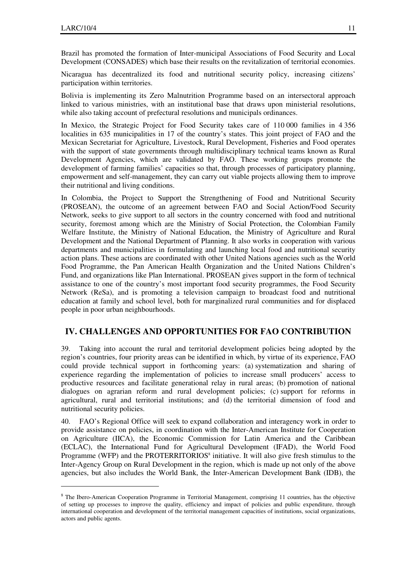$\overline{a}$ 

Brazil has promoted the formation of Inter-municipal Associations of Food Security and Local Development (CONSADES) which base their results on the revitalization of territorial economies.

Nicaragua has decentralized its food and nutritional security policy, increasing citizens' participation within territories.

Bolivia is implementing its Zero Malnutrition Programme based on an intersectoral approach linked to various ministries, with an institutional base that draws upon ministerial resolutions, while also taking account of prefectural resolutions and municipals ordinances.

In Mexico, the Strategic Project for Food Security takes care of 110 000 families in 4 356 localities in 635 municipalities in 17 of the country's states. This joint project of FAO and the Mexican Secretariat for Agriculture, Livestock, Rural Development, Fisheries and Food operates with the support of state governments through multidisciplinary technical teams known as Rural Development Agencies, which are validated by FAO. These working groups promote the development of farming families' capacities so that, through processes of participatory planning, empowerment and self-management, they can carry out viable projects allowing them to improve their nutritional and living conditions.

In Colombia, the Project to Support the Strengthening of Food and Nutritional Security (PROSEAN), the outcome of an agreement between FAO and Social Action/Food Security Network, seeks to give support to all sectors in the country concerned with food and nutritional security, foremost among which are the Ministry of Social Protection, the Colombian Family Welfare Institute, the Ministry of National Education, the Ministry of Agriculture and Rural Development and the National Department of Planning. It also works in cooperation with various departments and municipalities in formulating and launching local food and nutritional security action plans. These actions are coordinated with other United Nations agencies such as the World Food Programme, the Pan American Health Organization and the United Nations Children's Fund, and organizations like Plan International. PROSEAN gives support in the form of technical assistance to one of the country's most important food security programmes, the Food Security Network (ReSa), and is promoting a television campaign to broadcast food and nutritional education at family and school level, both for marginalized rural communities and for displaced people in poor urban neighbourhoods.

## **IV. CHALLENGES AND OPPORTUNITIES FOR FAO CONTRIBUTION**

Taking into account the rural and territorial development policies being adopted by the region's countries, four priority areas can be identified in which, by virtue of its experience, FAO could provide technical support in forthcoming years: (a) systematization and sharing of experience regarding the implementation of policies to increase small producers' access to productive resources and facilitate generational relay in rural areas; (b) promotion of national dialogues on agrarian reform and rural development policies; (c) support for reforms in agricultural, rural and territorial institutions; and (d) the territorial dimension of food and nutritional security policies.

40. FAO's Regional Office will seek to expand collaboration and interagency work in order to provide assistance on policies, in coordination with the Inter-American Institute for Cooperation on Agriculture (IICA), the Economic Commission for Latin America and the Caribbean (ECLAC), the International Fund for Agricultural Development (IFAD), the World Food Programme (WFP) and the PROTERRITORIOS $^8$  initiative. It will also give fresh stimulus to the Inter-Agency Group on Rural Development in the region, which is made up not only of the above agencies, but also includes the World Bank, the Inter-American Development Bank (IDB), the

<sup>&</sup>lt;sup>8</sup> The Ibero-American Cooperation Programme in Territorial Management, comprising 11 countries, has the objective of setting up processes to improve the quality, efficiency and impact of policies and public expenditure, through international cooperation and development of the territorial management capacities of institutions, social organizations, actors and public agents.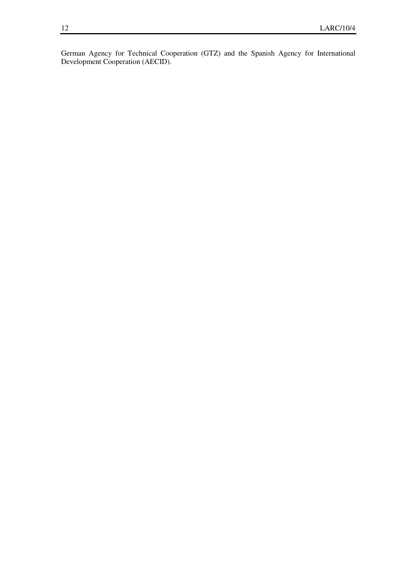German Agency for Technical Cooperation (GTZ) and the Spanish Agency for International Development Cooperation (AECID).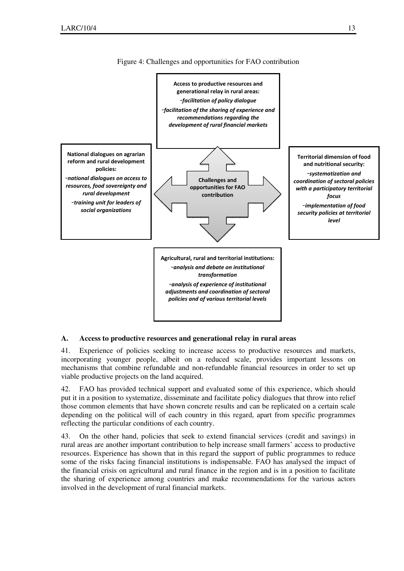

Figure 4: Challenges and opportunities for FAO contribution

## **A. Access to productive resources and generational relay in rural areas**

41. Experience of policies seeking to increase access to productive resources and markets, incorporating younger people, albeit on a reduced scale, provides important lessons on mechanisms that combine refundable and non-refundable financial resources in order to set up viable productive projects on the land acquired.

42. FAO has provided technical support and evaluated some of this experience, which should put it in a position to systematize, disseminate and facilitate policy dialogues that throw into relief those common elements that have shown concrete results and can be replicated on a certain scale depending on the political will of each country in this regard, apart from specific programmes reflecting the particular conditions of each country.

43. On the other hand, policies that seek to extend financial services (credit and savings) in rural areas are another important contribution to help increase small farmers' access to productive resources. Experience has shown that in this regard the support of public programmes to reduce some of the risks facing financial institutions is indispensable. FAO has analysed the impact of the financial crisis on agricultural and rural finance in the region and is in a position to facilitate the sharing of experience among countries and make recommendations for the various actors involved in the development of rural financial markets.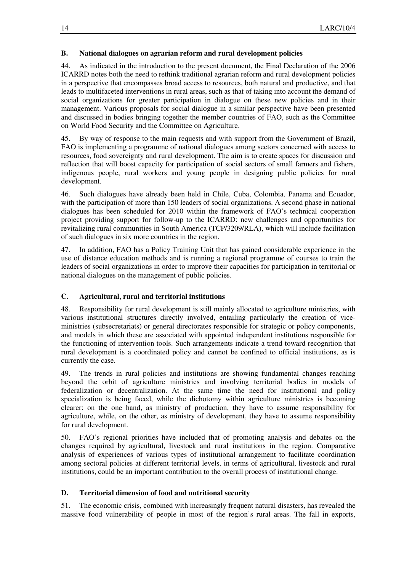#### **B. National dialogues on agrarian reform and rural development policies**

44. As indicated in the introduction to the present document, the Final Declaration of the 2006 ICARRD notes both the need to rethink traditional agrarian reform and rural development policies in a perspective that encompasses broad access to resources, both natural and productive, and that leads to multifaceted interventions in rural areas, such as that of taking into account the demand of social organizations for greater participation in dialogue on these new policies and in their management. Various proposals for social dialogue in a similar perspective have been presented and discussed in bodies bringing together the member countries of FAO, such as the Committee on World Food Security and the Committee on Agriculture.

45. By way of response to the main requests and with support from the Government of Brazil, FAO is implementing a programme of national dialogues among sectors concerned with access to resources, food sovereignty and rural development. The aim is to create spaces for discussion and reflection that will boost capacity for participation of social sectors of small farmers and fishers, indigenous people, rural workers and young people in designing public policies for rural development.

46. Such dialogues have already been held in Chile, Cuba, Colombia, Panama and Ecuador, with the participation of more than 150 leaders of social organizations. A second phase in national dialogues has been scheduled for 2010 within the framework of FAO's technical cooperation project providing support for follow-up to the ICARRD: new challenges and opportunities for revitalizing rural communities in South America (TCP/3209/RLA), which will include facilitation of such dialogues in six more countries in the region.

47. In addition, FAO has a Policy Training Unit that has gained considerable experience in the use of distance education methods and is running a regional programme of courses to train the leaders of social organizations in order to improve their capacities for participation in territorial or national dialogues on the management of public policies.

### **C. Agricultural, rural and territorial institutions**

48. Responsibility for rural development is still mainly allocated to agriculture ministries, with various institutional structures directly involved, entailing particularly the creation of viceministries (subsecretariats) or general directorates responsible for strategic or policy components, and models in which these are associated with appointed independent institutions responsible for the functioning of intervention tools. Such arrangements indicate a trend toward recognition that rural development is a coordinated policy and cannot be confined to official institutions, as is currently the case.

49. The trends in rural policies and institutions are showing fundamental changes reaching beyond the orbit of agriculture ministries and involving territorial bodies in models of federalization or decentralization. At the same time the need for institutional and policy specialization is being faced, while the dichotomy within agriculture ministries is becoming clearer: on the one hand, as ministry of production, they have to assume responsibility for agriculture, while, on the other, as ministry of development, they have to assume responsibility for rural development.

50. FAO's regional priorities have included that of promoting analysis and debates on the changes required by agricultural, livestock and rural institutions in the region. Comparative analysis of experiences of various types of institutional arrangement to facilitate coordination among sectoral policies at different territorial levels, in terms of agricultural, livestock and rural institutions, could be an important contribution to the overall process of institutional change.

### **D. Territorial dimension of food and nutritional security**

51. The economic crisis, combined with increasingly frequent natural disasters, has revealed the massive food vulnerability of people in most of the region's rural areas. The fall in exports,